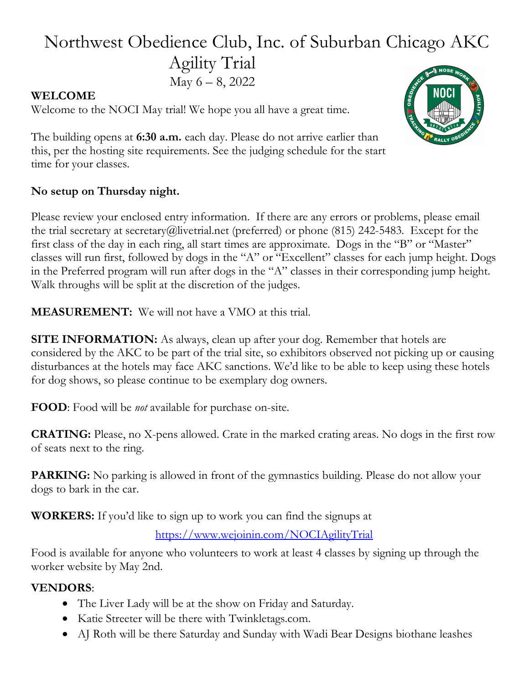# Northwest Obedience Club, Inc. of Suburban Chicago AKC Agility Trial May  $6 - 8$ , 2022

### WELCOME

Welcome to the NOCI May trial! We hope you all have a great time.



The building opens at 6:30 a.m. each day. Please do not arrive earlier than this, per the hosting site requirements. See the judging schedule for the start time for your classes.

## No setup on Thursday night.

Please review your enclosed entry information. If there are any errors or problems, please email the trial secretary at secretary@livetrial.net (preferred) or phone (815) 242-5483. Except for the first class of the day in each ring, all start times are approximate. Dogs in the "B" or "Master" classes will run first, followed by dogs in the "A" or "Excellent" classes for each jump height. Dogs in the Preferred program will run after dogs in the "A" classes in their corresponding jump height. Walk throughs will be split at the discretion of the judges.

MEASUREMENT: We will not have a VMO at this trial.

**SITE INFORMATION:** As always, clean up after your dog. Remember that hotels are considered by the AKC to be part of the trial site, so exhibitors observed not picking up or causing disturbances at the hotels may face AKC sanctions. We'd like to be able to keep using these hotels for dog shows, so please continue to be exemplary dog owners.

FOOD: Food will be *not* available for purchase on-site.

CRATING: Please, no X-pens allowed. Crate in the marked crating areas. No dogs in the first row of seats next to the ring.

PARKING: No parking is allowed in front of the gymnastics building. Please do not allow your dogs to bark in the car.

WORKERS: If you'd like to sign up to work you can find the signups at

## https://www.wejoinin.com/NOCIAgilityTrial

Food is available for anyone who volunteers to work at least 4 classes by signing up through the worker website by May 2nd.

#### VENDORS:

- The Liver Lady will be at the show on Friday and Saturday.
- Katie Streeter will be there with Twinkletags.com.
- AJ Roth will be there Saturday and Sunday with Wadi Bear Designs biothane leashes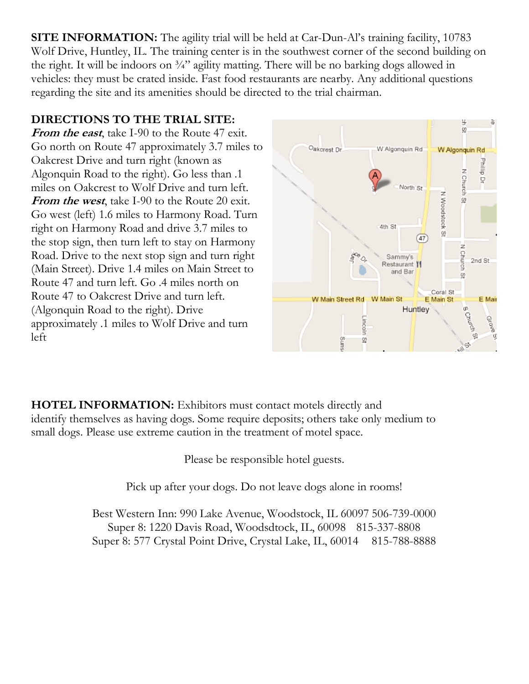SITE INFORMATION: The agility trial will be held at Car-Dun-Al's training facility, 10783 Wolf Drive, Huntley, IL. The training center is in the southwest corner of the second building on the right. It will be indoors on  $\frac{3}{4}$ " agility matting. There will be no barking dogs allowed in vehicles: they must be crated inside. Fast food restaurants are nearby. Any additional questions regarding the site and its amenities should be directed to the trial chairman.

## DIRECTIONS TO THE TRIAL SITE:

From the east, take I-90 to the Route 47 exit. Go north on Route 47 approximately 3.7 miles to Oakcrest Drive and turn right (known as Algonquin Road to the right). Go less than .1 miles on Oakcrest to Wolf Drive and turn left. From the west, take I-90 to the Route 20 exit. Go west (left) 1.6 miles to Harmony Road. Turn right on Harmony Road and drive 3.7 miles to the stop sign, then turn left to stay on Harmony Road. Drive to the next stop sign and turn right (Main Street). Drive 1.4 miles on Main Street to Route 47 and turn left. Go .4 miles north on Route 47 to Oakcrest Drive and turn left. (Algonquin Road to the right). Drive approximately .1 miles to Wolf Drive and turn left



HOTEL INFORMATION: Exhibitors must contact motels directly and identify themselves as having dogs. Some require deposits; others take only medium to small dogs. Please use extreme caution in the treatment of motel space.

Please be responsible hotel guests.

Pick up after your dogs. Do not leave dogs alone in rooms!

Best Western Inn: 990 Lake Avenue, Woodstock, IL 60097 506-739-0000 Super 8: 1220 Davis Road, Woodsdtock, IL, 60098 815-337-8808 Super 8: 577 Crystal Point Drive, Crystal Lake, IL, 60014 815-788-8888